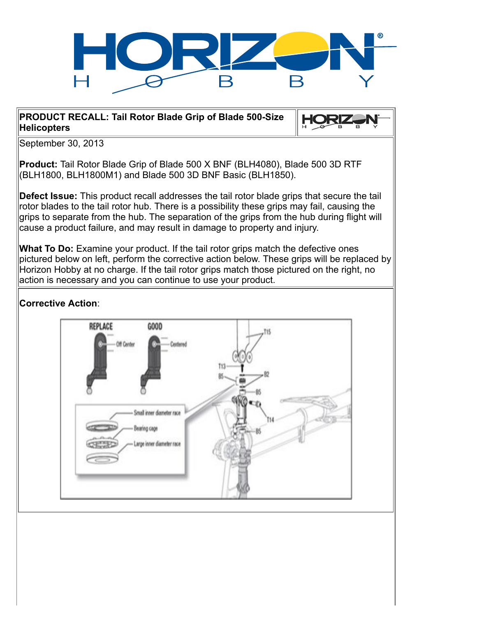

**HORIZ** 

### **PRODUCT RECALL: Tail Rotor Blade Grip of Blade 500-Size Helicopters**

September 30, 2013

**Product:** Tail Rotor Blade Grip of Blade 500 X BNF (BLH4080), Blade 500 3D RTF (BLH1800, BLH1800M1) and Blade 500 3D BNF Basic (BLH1850).

**Defect Issue:** This product recall addresses the tail rotor blade grips that secure the tail rotor blades to the tail rotor hub. There is a possibility these grips may fail, causing the grips to separate from the hub. The separation of the grips from the hub during flight will cause a product failure, and may result in damage to property and injury.

**What To Do:** Examine your product. If the tail rotor grips match the defective ones pictured below on left, perform the corrective action below. These grips will be replaced by Horizon Hobby at no charge. If the tail rotor grips match those pictured on the right, no action is necessary and you can continue to use your product.

# **Corrective Action**:

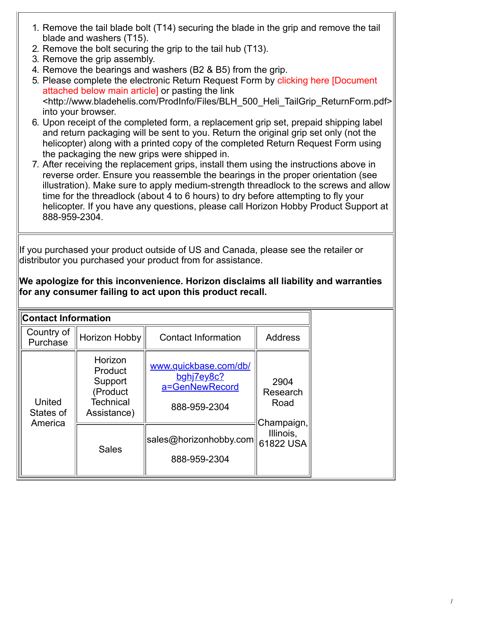- 1. Remove the tail blade bolt (T14) securing the blade in the grip and remove the tail blade and washers (T15).
- 2. Remove the bolt securing the grip to the tail hub (T13).
- 3. Remove the grip assembly.
- 4. Remove the bearings and washers (B2 & B5) from the grip.
- 5. Please complete the electronic Return Request Form by clicking here [Document attached below main article] or pasting the link <http://www.bladehelis.com/ProdInfo/Files/BLH\_500\_Heli\_TailGrip\_ReturnForm.pdf> into your browser.
- 6. Upon receipt of the completed form, a replacement grip set, prepaid shipping label and return packaging will be sent to you. Return the original grip set only (not the helicopter) along with a printed copy of the completed Return Request Form using the packaging the new grips were shipped in.
- 7. After receiving the replacement grips, install them using the instructions above in reverse order. Ensure you reassemble the bearings in the proper orientation (see illustration). Make sure to apply medium-strength threadlock to the screws and allow time for the threadlock (about 4 to 6 hours) to dry before attempting to fly your helicopter. If you have any questions, please call Horizon Hobby Product Support at 888-959-2304.

If you purchased your product outside of US and Canada, please see the retailer or distributor you purchased your product from for assistance.

## **We apologize for this inconvenience. Horizon disclaims all liability and warranties for any consumer failing to act upon this product recall.**

| <b>Contact Information</b>     |                                                                              |                                                                       |                                                                  |
|--------------------------------|------------------------------------------------------------------------------|-----------------------------------------------------------------------|------------------------------------------------------------------|
| Country of<br>Purchase         | Horizon Hobby                                                                | <b>Contact Information</b>                                            | <b>Address</b>                                                   |
| United<br>States of<br>America | Horizon<br>Product<br>Support<br>(Product<br><b>Technical</b><br>Assistance) | www.quickbase.com/db/<br>bghj7ey8c?<br>a=GenNewRecord<br>888-959-2304 | 2904<br>Research<br>Road<br>Champaign,<br>Illinois,<br>61822 USA |
|                                | <b>Sales</b>                                                                 | sales@horizonhobby.com <br>888-959-2304                               |                                                                  |